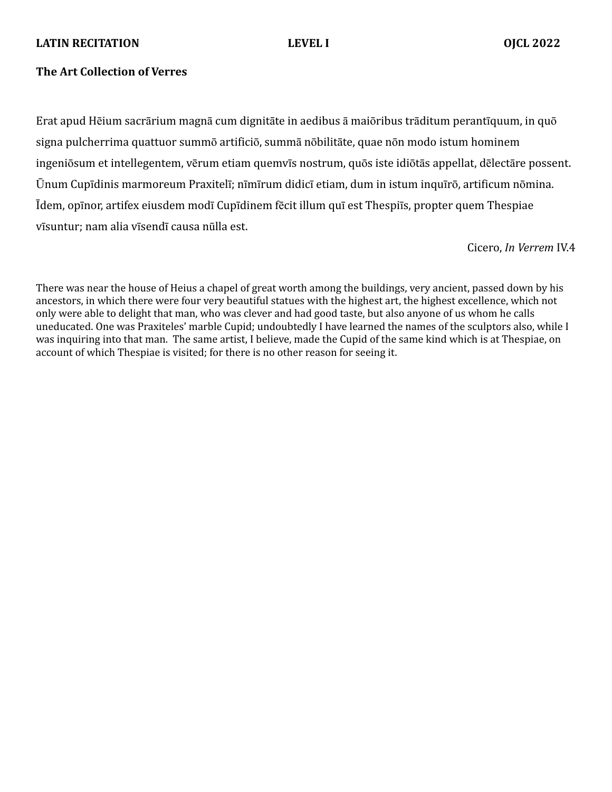# **LATIN RECITATION LEVEL I OJCL 2022**

# **The Art Collection of Verres**

Erat apud Hēium sacrārium magnā cum dignitāte in aedibus ā maiōribus trāditum perantīquum, in quō signa pulcherrima quattuor summō artificiō, summā nōbilitāte, quae nōn modo istum hominem ingeniōsum et intellegentem, vērum etiam quemvīs nostrum, quōs iste idiōtās appellat, dēlectāre possent. Ūnum Cupīdinis marmoreum Praxitelī; nīmīrum didicī etiam, dum in istum inquīrō, artificum nōmina. Īdem, opīnor, artifex eiusdem modī Cupīdinem fēcit illum quī est Thespiīs, propter quem Thespiae vīsuntur; nam alia vīsendī causa nūlla est.

Cicero, *In Verrem* IV.4

There was near the house of Heius a chapel of great worth among the buildings, very ancient, passed down by his ancestors, in which there were four very beautiful statues with the highest art, the highest excellence, which not only were able to delight that man, who was clever and had good taste, but also anyone of us whom he calls uneducated. One was Praxiteles' marble Cupid; undoubtedly I have learned the names of the sculptors also, while I was inquiring into that man. The same artist, I believe, made the Cupid of the same kind which is at Thespiae, on account of which Thespiae is visited; for there is no other reason for seeing it.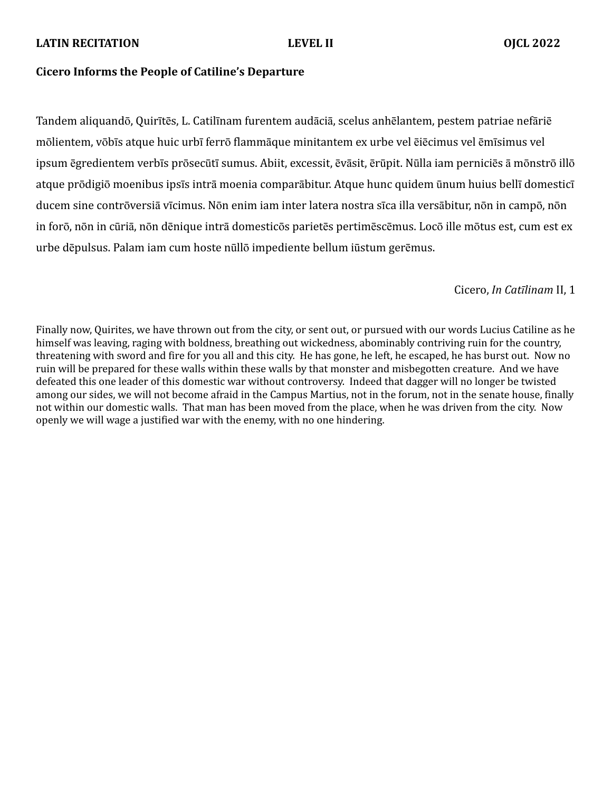## **LATIN RECITATION LEVEL II OJCL 2022**

## **Cicero Informs the People of Catiline's Departure**

Tandem aliquandō, Quirītēs, L. Catilīnam furentem audāciā, scelus anhēlantem, pestem patriae nefāriē mōlientem, vōbīs atque huic urbī ferrō flammāque minitantem ex urbe vel ēiēcimus vel ēmīsimus vel ipsum ēgredientem verbīs prōsecūtī sumus. Abiit, excessit, ēvāsit, ērūpit. Nūlla iam perniciēs ā mōnstrō illō atque prōdigiō moenibus ipsīs intrā moenia comparābitur. Atque hunc quidem ūnum huius bellī domesticī ducem sine contrōversiā vīcimus. Nōn enim iam inter latera nostra sīca illa versābitur, nōn in campō, nōn in forō, nōn in cūriā, nōn dēnique intrā domesticōs parietēs pertimēscēmus. Locō ille mōtus est, cum est ex urbe dēpulsus. Palam iam cum hoste nūllō impediente bellum iūstum gerēmus.

# Cicero, *In Catīlinam* II, 1

Finally now, Quirites, we have thrown out from the city, or sent out, or pursued with our words Lucius Catiline as he himself was leaving, raging with boldness, breathing out wickedness, abominably contriving ruin for the country, threatening with sword and fire for you all and this city. He has gone, he left, he escaped, he has burst out. Now no ruin will be prepared for these walls within these walls by that monster and misbegotten creature. And we have defeated this one leader of this domestic war without controversy. Indeed that dagger will no longer be twisted among our sides, we will not become afraid in the Campus Martius, not in the forum, not in the senate house, finally not within our domestic walls. That man has been moved from the place, when he was driven from the city. Now openly we will wage a justified war with the enemy, with no one hindering.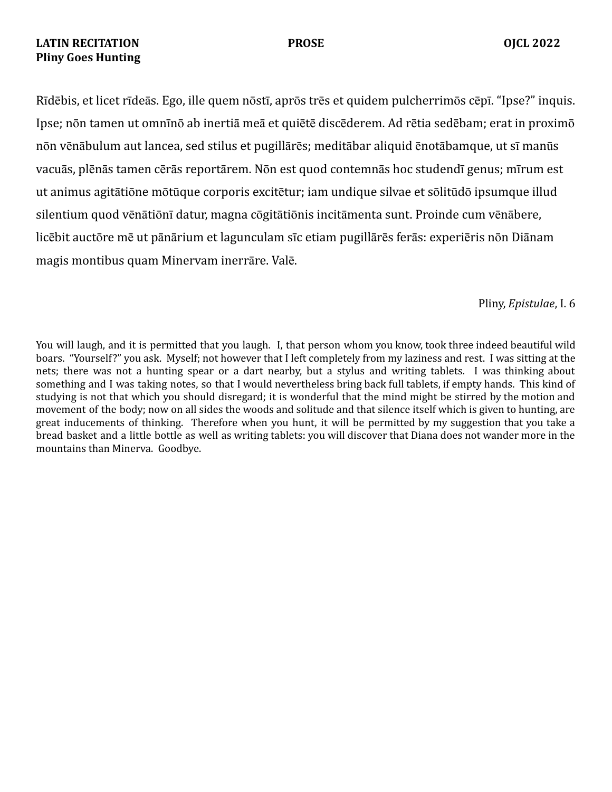# **LATIN RECITATION PROSE OJCL 2022 Pliny Goes Hunting**

Rīdēbis, et licet rīdeās. Ego, ille quem nōstī, aprōs trēs et quidem pulcherrimōs cēpī. "Ipse?" inquis. Ipse; nōn tamen ut omnīnō ab inertiā meā et quiētē discēderem. Ad rētia sedēbam; erat in proximō nōn vēnābulum aut lancea, sed stilus et pugillārēs; meditābar aliquid ēnotābamque, ut sī manūs vacuās, plēnās tamen cērās reportārem. Nōn est quod contemnās hoc studendī genus; mīrum est ut animus agitātiōne mōtūque corporis excitētur; iam undique silvae et sōlitūdō ipsumque illud silentium quod vēnātiōnī datur, magna cōgitātiōnis incitāmenta sunt. Proinde cum vēnābere, licēbit auctōre mē ut pānārium et lagunculam sīc etiam pugillārēs ferās: experiēris nōn Diānam magis montibus quam Minervam inerrāre. Valē.

## Pliny, *Epistulae*, I. 6

You will laugh, and it is permitted that you laugh. I, that person whom you know, took three indeed beautiful wild boars. "Yourself?" you ask. Myself; not however that I left completely from my laziness and rest. I was sitting at the nets; there was not a hunting spear or a dart nearby, but a stylus and writing tablets. I was thinking about something and I was taking notes, so that I would nevertheless bring back full tablets, if empty hands. This kind of studying is not that which you should disregard; it is wonderful that the mind might be stirred by the motion and movement of the body; now on all sides the woods and solitude and that silence itself which is given to hunting, are great inducements of thinking. Therefore when you hunt, it will be permitted by my suggestion that you take a bread basket and a little bottle as well as writing tablets: you will discover that Diana does not wander more in the mountains than Minerva. Goodbye.